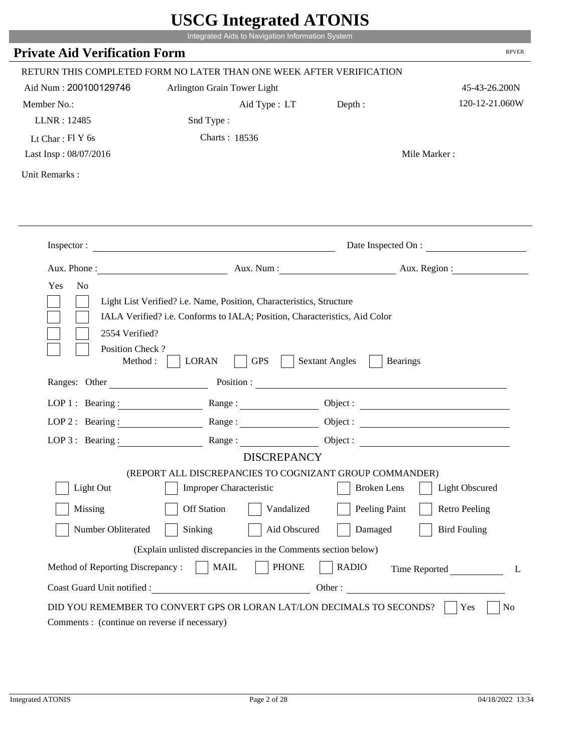|                                                            | Integrated Aids to Navigation Information System                                                                                                   | UDUU IIIIU ARUU ATUNID                                                                                                                                                                                                         |                        |
|------------------------------------------------------------|----------------------------------------------------------------------------------------------------------------------------------------------------|--------------------------------------------------------------------------------------------------------------------------------------------------------------------------------------------------------------------------------|------------------------|
| <b>Private Aid Verification Form</b>                       |                                                                                                                                                    |                                                                                                                                                                                                                                | <b>RPVER</b>           |
|                                                            | RETURN THIS COMPLETED FORM NO LATER THAN ONE WEEK AFTER VERIFICATION                                                                               |                                                                                                                                                                                                                                |                        |
| Aid Num: 200100129746                                      | Arlington Grain Tower Light                                                                                                                        |                                                                                                                                                                                                                                | 45-43-26.200N          |
| Member No.:                                                | Aid Type : LT Depth :                                                                                                                              |                                                                                                                                                                                                                                | 120-12-21.060W         |
| LLNR: 12485                                                | Snd Type:                                                                                                                                          |                                                                                                                                                                                                                                |                        |
| Lt Char: $FIY$ 6s                                          | Charts: 18536                                                                                                                                      |                                                                                                                                                                                                                                |                        |
| Last Insp: 08/07/2016                                      |                                                                                                                                                    |                                                                                                                                                                                                                                | Mile Marker:           |
| Unit Remarks:                                              |                                                                                                                                                    |                                                                                                                                                                                                                                |                        |
|                                                            |                                                                                                                                                    |                                                                                                                                                                                                                                |                        |
|                                                            | Inspector:                                                                                                                                         |                                                                                                                                                                                                                                | Date Inspected On :    |
| Aux. Phone :                                               |                                                                                                                                                    |                                                                                                                                                                                                                                | Aux. Num: Aux. Region: |
| Yes<br>N <sub>o</sub><br>2554 Verified?<br>Position Check? | Light List Verified? i.e. Name, Position, Characteristics, Structure<br>IALA Verified? i.e. Conforms to IALA; Position, Characteristics, Aid Color |                                                                                                                                                                                                                                |                        |
| Method:<br>Ranges: Other                                   | <b>GPS</b><br><b>LORAN</b>                                                                                                                         | <b>Sextant Angles</b><br><b>Bearings</b>                                                                                                                                                                                       |                        |
|                                                            |                                                                                                                                                    | Position : The Contract of the Contract of the Contract of the Contract of the Contract of the Contract of the Contract of the Contract of the Contract of the Contract of the Contract of the Contract of the Contract of the |                        |
| LOP 1 : Bearing : $\qquad \qquad$                          |                                                                                                                                                    |                                                                                                                                                                                                                                | Object :               |
| $LOP$ 2 : Bearing :                                        | Range:                                                                                                                                             |                                                                                                                                                                                                                                |                        |
| $LOP$ 3 : Bearing :                                        | Range:<br><b>DISCREPANCY</b>                                                                                                                       |                                                                                                                                                                                                                                |                        |
|                                                            | (REPORT ALL DISCREPANCIES TO COGNIZANT GROUP COMMANDER)                                                                                            |                                                                                                                                                                                                                                |                        |
| Light Out                                                  | <b>Improper Characteristic</b>                                                                                                                     | <b>Broken</b> Lens                                                                                                                                                                                                             | <b>Light Obscured</b>  |
| Missing                                                    | <b>Off Station</b><br>Vandalized                                                                                                                   | Peeling Paint                                                                                                                                                                                                                  | <b>Retro Peeling</b>   |
| Number Obliterated                                         | Sinking<br>Aid Obscured                                                                                                                            | Damaged                                                                                                                                                                                                                        | <b>Bird Fouling</b>    |
|                                                            | (Explain unlisted discrepancies in the Comments section below)                                                                                     |                                                                                                                                                                                                                                |                        |
| Method of Reporting Discrepancy:                           | <b>PHONE</b><br><b>MAIL</b>                                                                                                                        | <b>RADIO</b>                                                                                                                                                                                                                   | Time Reported<br>L     |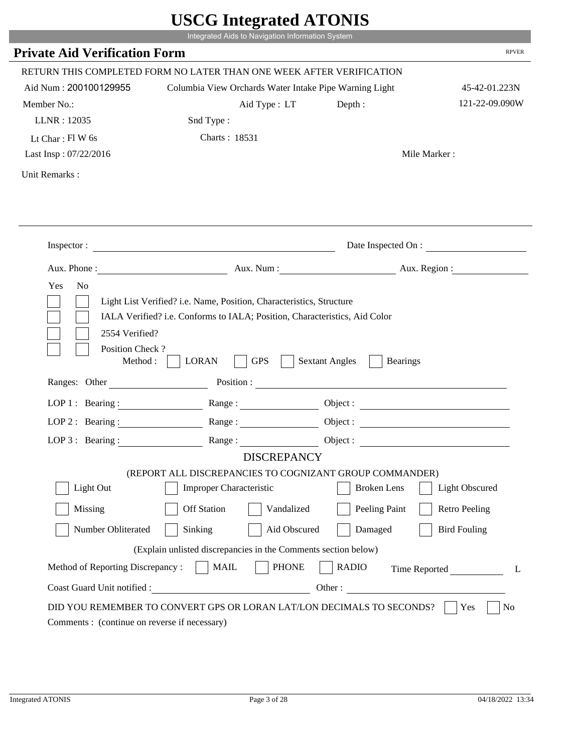|                                              | Integrated Aids to Navigation Information System                              |                                          |                       |
|----------------------------------------------|-------------------------------------------------------------------------------|------------------------------------------|-----------------------|
| <b>Private Aid Verification Form</b>         |                                                                               |                                          | <b>RPVER</b>          |
|                                              | RETURN THIS COMPLETED FORM NO LATER THAN ONE WEEK AFTER VERIFICATION          |                                          |                       |
| Aid Num: 200100129955                        | Columbia View Orchards Water Intake Pipe Warning Light                        |                                          | 45-42-01.223N         |
| Member No.:                                  | Aid Type : LT                                                                 | Depth:                                   | 121-22-09.090W        |
| LLNR: 12035                                  | Snd Type:                                                                     |                                          |                       |
| Lt Char: Fl W 6s                             | Charts: 18531                                                                 |                                          |                       |
| Last Insp: 07/22/2016                        |                                                                               |                                          | Mile Marker:          |
| Unit Remarks:                                |                                                                               |                                          |                       |
|                                              |                                                                               |                                          |                       |
|                                              | Inspector:                                                                    |                                          | Date Inspected On :   |
|                                              | Aux. Phone : Aux. Num : Aux. Num : Aux. Num : Aux. Region :                   |                                          |                       |
| 2554 Verified?                               | IALA Verified? i.e. Conforms to IALA; Position, Characteristics, Aid Color    |                                          |                       |
| Position Check?<br>Method :<br>Ranges: Other | <b>LORAN</b><br><b>GPS</b>                                                    | <b>Sextant Angles</b><br><b>Bearings</b> |                       |
|                                              |                                                                               |                                          |                       |
|                                              | LOP 1: Bearing: Range:                                                        |                                          |                       |
|                                              | LOP 2: Bearing: $\qquad \qquad$ Range:                                        |                                          |                       |
| LOP $3:$ Bearing :                           | Range:                                                                        |                                          | Object :              |
|                                              | <b>DISCREPANCY</b><br>(REPORT ALL DISCREPANCIES TO COGNIZANT GROUP COMMANDER) |                                          |                       |
| Light Out                                    | <b>Improper Characteristic</b>                                                | <b>Broken</b> Lens                       | <b>Light Obscured</b> |
| Missing                                      | <b>Off Station</b><br>Vandalized                                              | Peeling Paint                            | <b>Retro Peeling</b>  |
| Number Obliterated                           | Sinking                                                                       | Aid Obscured<br>Damaged                  | <b>Bird Fouling</b>   |
|                                              | (Explain unlisted discrepancies in the Comments section below)                |                                          |                       |
| Method of Reporting Discrepancy:             | <b>PHONE</b><br><b>MAIL</b>                                                   | <b>RADIO</b>                             |                       |
| Coast Guard Unit notified :                  | <u> 1990 - Johann Barbara, martxa eta politikar</u>                           | Other:                                   | Time Reported         |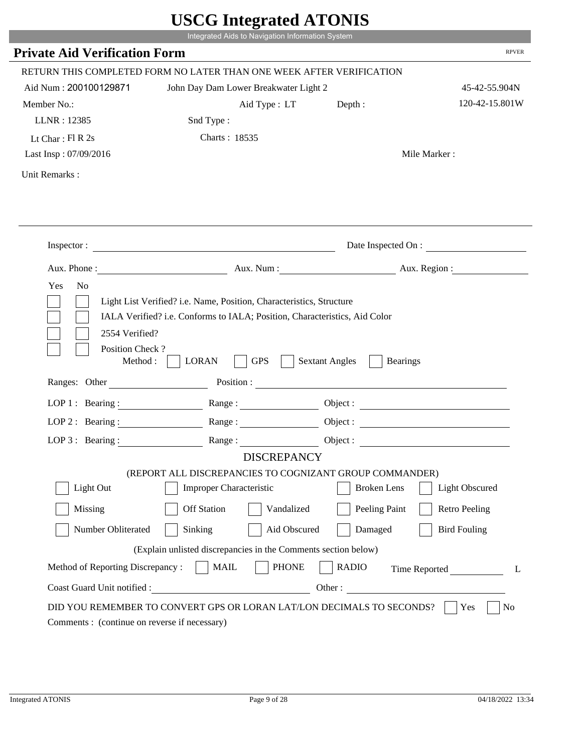|                                                                 | Integrated Aids to Navigation Information System                                                                                                   |                                          | <b>RPVER</b>                           |
|-----------------------------------------------------------------|----------------------------------------------------------------------------------------------------------------------------------------------------|------------------------------------------|----------------------------------------|
| <b>Private Aid Verification Form</b>                            |                                                                                                                                                    |                                          |                                        |
|                                                                 | RETURN THIS COMPLETED FORM NO LATER THAN ONE WEEK AFTER VERIFICATION                                                                               |                                          |                                        |
| Aid Num: 200100129871                                           | John Day Dam Lower Breakwater Light 2                                                                                                              |                                          | 45-42-55.904N                          |
| Member No.:                                                     | Aid Type: LT                                                                                                                                       | Depth:                                   | 120-42-15.801W                         |
| LLNR: 12385                                                     | Snd Type:                                                                                                                                          |                                          |                                        |
| Lt Char: $FI R 2s$                                              | Charts: 18535                                                                                                                                      |                                          |                                        |
| Last Insp: 07/09/2016                                           |                                                                                                                                                    |                                          | Mile Marker:                           |
| Unit Remarks:                                                   |                                                                                                                                                    |                                          |                                        |
|                                                                 |                                                                                                                                                    |                                          |                                        |
|                                                                 |                                                                                                                                                    |                                          |                                        |
|                                                                 | Inspector:                                                                                                                                         |                                          | Date Inspected On :                    |
|                                                                 | Aux. Phone : Aux. Num : Aux. Num : Aux. Aux. Region :                                                                                              |                                          |                                        |
| 2554 Verified?                                                  | Light List Verified? i.e. Name, Position, Characteristics, Structure<br>IALA Verified? i.e. Conforms to IALA; Position, Characteristics, Aid Color |                                          |                                        |
| Position Check?<br>Method :                                     | <b>GPS</b><br><b>LORAN</b>                                                                                                                         | <b>Sextant Angles</b><br><b>Bearings</b> |                                        |
| Ranges: Other                                                   |                                                                                                                                                    | Position :                               |                                        |
| LOP 1 : Bearing :                                               | Range:                                                                                                                                             |                                          |                                        |
| $LOP$ 2 : Bearing :                                             |                                                                                                                                                    |                                          |                                        |
|                                                                 | LOP 3: Bearing : $\qquad \qquad$ Range :                                                                                                           |                                          |                                        |
|                                                                 | <b>DISCREPANCY</b>                                                                                                                                 |                                          |                                        |
| Light Out                                                       | (REPORT ALL DISCREPANCIES TO COGNIZANT GROUP COMMANDER)                                                                                            | <b>Broken</b> Lens                       |                                        |
| Missing                                                         | Improper Characteristic<br><b>Off Station</b><br>Vandalized                                                                                        | Peeling Paint                            | Light Obscured<br><b>Retro Peeling</b> |
| Number Obliterated                                              | Sinking<br>Aid Obscured                                                                                                                            | Damaged                                  | <b>Bird Fouling</b>                    |
|                                                                 |                                                                                                                                                    |                                          |                                        |
|                                                                 | (Explain unlisted discrepancies in the Comments section below)                                                                                     |                                          |                                        |
| Method of Reporting Discrepancy:<br>Coast Guard Unit notified : | <b>MAIL</b><br><b>PHONE</b>                                                                                                                        | <b>RADIO</b><br>Other:                   | Time Reported<br>L                     |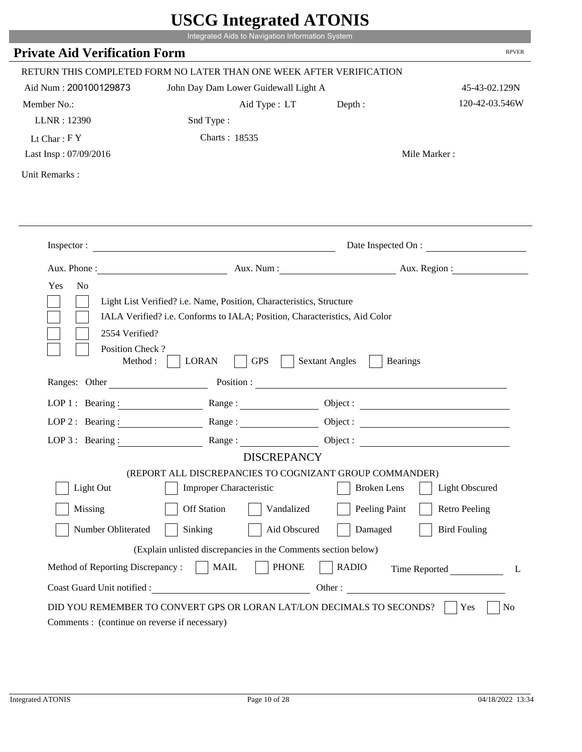|                                                                 | Integrated Aids to Navigation Information System                           |                                          |                      |
|-----------------------------------------------------------------|----------------------------------------------------------------------------|------------------------------------------|----------------------|
| <b>Private Aid Verification Form</b>                            |                                                                            |                                          | <b>RPVER</b>         |
|                                                                 |                                                                            |                                          |                      |
|                                                                 | RETURN THIS COMPLETED FORM NO LATER THAN ONE WEEK AFTER VERIFICATION       |                                          |                      |
| Aid Num: 200100129873                                           | John Day Dam Lower Guidewall Light A                                       |                                          | 45-43-02.129N        |
| Member No.:                                                     | Aid Type: LT                                                               | Depth:                                   | 120-42-03.546W       |
| LLNR: 12390                                                     | Snd Type:                                                                  |                                          |                      |
| Lt Char: $FY$                                                   | Charts: 18535                                                              |                                          |                      |
| Last Insp: 07/09/2016                                           |                                                                            |                                          | Mile Marker:         |
| Unit Remarks:                                                   |                                                                            |                                          |                      |
|                                                                 |                                                                            |                                          |                      |
|                                                                 |                                                                            |                                          |                      |
|                                                                 | Inspector:                                                                 |                                          | Date Inspected On :  |
|                                                                 | Aux. Phone : Aux. Num : Aux. Num : Aux. Aux. Region :                      |                                          |                      |
| Yes<br>N <sub>o</sub>                                           |                                                                            |                                          |                      |
|                                                                 |                                                                            |                                          |                      |
|                                                                 | Light List Verified? i.e. Name, Position, Characteristics, Structure       |                                          |                      |
|                                                                 | IALA Verified? i.e. Conforms to IALA; Position, Characteristics, Aid Color |                                          |                      |
| 2554 Verified?                                                  |                                                                            |                                          |                      |
| Position Check?                                                 |                                                                            |                                          |                      |
| Method :                                                        | <b>GPS</b><br><b>LORAN</b>                                                 | <b>Sextant Angles</b><br><b>Bearings</b> |                      |
| Ranges: Other                                                   |                                                                            | Position :                               |                      |
| LOP 1 : Bearing :                                               | Range:                                                                     |                                          |                      |
| $LOP$ 2 : Bearing :                                             |                                                                            |                                          |                      |
|                                                                 |                                                                            |                                          |                      |
|                                                                 | LOP 3: Bearing : $\qquad \qquad$ Range :<br><b>DISCREPANCY</b>             |                                          | Object:              |
|                                                                 | (REPORT ALL DISCREPANCIES TO COGNIZANT GROUP COMMANDER)                    |                                          |                      |
| Light Out                                                       | Improper Characteristic                                                    | <b>Broken</b> Lens                       | Light Obscured       |
| Missing                                                         | <b>Off Station</b><br>Vandalized                                           | Peeling Paint                            | <b>Retro Peeling</b> |
| Number Obliterated                                              | Sinking<br>Aid Obscured                                                    | Damaged                                  | <b>Bird Fouling</b>  |
|                                                                 |                                                                            |                                          |                      |
|                                                                 | (Explain unlisted discrepancies in the Comments section below)             |                                          |                      |
| Method of Reporting Discrepancy:<br>Coast Guard Unit notified : | <b>MAIL</b><br><b>PHONE</b>                                                | <b>RADIO</b><br>Other:                   | Time Reported<br>L   |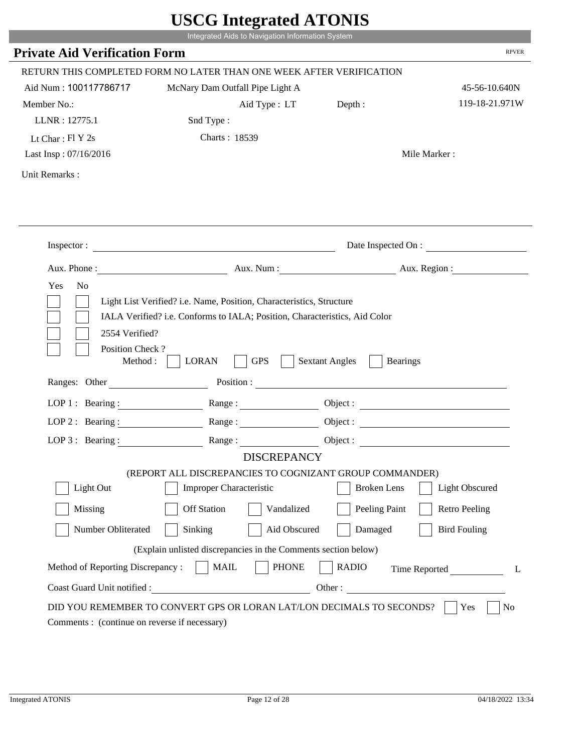|                                                                 | Integrated Aids to Navigation Information System                                                                                                   |                                          |                          |
|-----------------------------------------------------------------|----------------------------------------------------------------------------------------------------------------------------------------------------|------------------------------------------|--------------------------|
| <b>Private Aid Verification Form</b>                            |                                                                                                                                                    |                                          | <b>RPVER</b>             |
|                                                                 | RETURN THIS COMPLETED FORM NO LATER THAN ONE WEEK AFTER VERIFICATION                                                                               |                                          |                          |
| Aid Num: 100117786717                                           | McNary Dam Outfall Pipe Light A                                                                                                                    |                                          | 45-56-10.640N            |
| Member No.:                                                     | Aid Type : LT                                                                                                                                      | Depth:                                   | 119-18-21.971W           |
| LLNR: 12775.1                                                   | Snd Type:                                                                                                                                          |                                          |                          |
| Lt Char: $FI Y 2s$                                              | Charts: 18539                                                                                                                                      |                                          |                          |
| Last Insp: 07/16/2016                                           |                                                                                                                                                    |                                          | Mile Marker:             |
| Unit Remarks:                                                   |                                                                                                                                                    |                                          |                          |
|                                                                 |                                                                                                                                                    |                                          | Date Inspected On :      |
|                                                                 | Inspector:                                                                                                                                         |                                          |                          |
| Aux. Phone :                                                    |                                                                                                                                                    |                                          | Aux. Num : Aux. Region : |
| N <sub>o</sub><br>Yes<br>2554 Verified?                         | Light List Verified? i.e. Name, Position, Characteristics, Structure<br>IALA Verified? i.e. Conforms to IALA; Position, Characteristics, Aid Color |                                          |                          |
| Position Check?<br>Method :<br>Ranges: Other                    | <b>GPS</b><br><b>LORAN</b><br>Position :                                                                                                           | <b>Sextant Angles</b><br><b>Bearings</b> |                          |
|                                                                 |                                                                                                                                                    |                                          |                          |
|                                                                 | LOP 1: Bearing: $\qquad \qquad \text{Range}:$                                                                                                      |                                          |                          |
|                                                                 | LOP 2: Bearing: Range:                                                                                                                             |                                          |                          |
| LOP $3:$ Bearing :                                              | Range:<br><b>DISCREPANCY</b>                                                                                                                       |                                          | Object:                  |
|                                                                 | (REPORT ALL DISCREPANCIES TO COGNIZANT GROUP COMMANDER)                                                                                            |                                          |                          |
| Light Out                                                       | Improper Characteristic                                                                                                                            | <b>Broken</b> Lens                       | Light Obscured           |
| Missing                                                         | <b>Off Station</b><br>Vandalized                                                                                                                   | Peeling Paint                            | <b>Retro Peeling</b>     |
| Number Obliterated                                              | Aid Obscured<br>Sinking                                                                                                                            | Damaged                                  | <b>Bird Fouling</b>      |
|                                                                 |                                                                                                                                                    |                                          |                          |
|                                                                 | (Explain unlisted discrepancies in the Comments section below)                                                                                     |                                          |                          |
| Method of Reporting Discrepancy:<br>Coast Guard Unit notified : | <b>PHONE</b><br><b>MAIL</b><br>Other:                                                                                                              | <b>RADIO</b>                             | Time Reported            |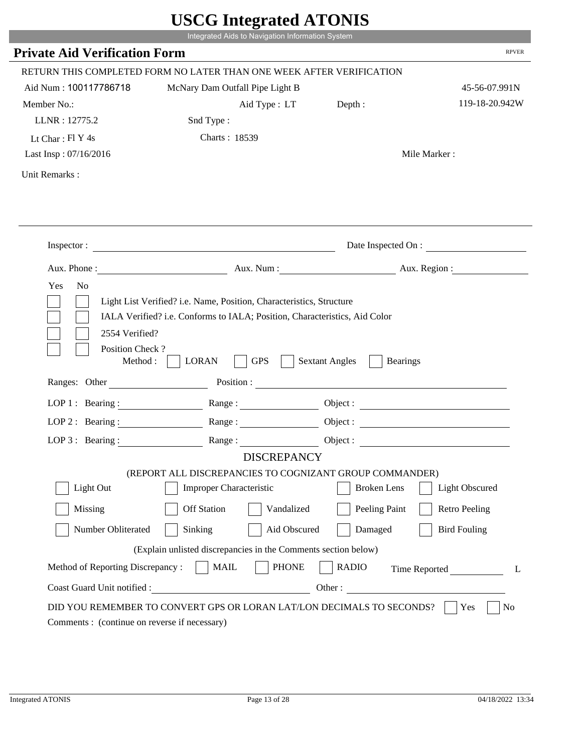|                                                                 | Integrated Aids to Navigation Information System                                                                                                   |                                          |                          |
|-----------------------------------------------------------------|----------------------------------------------------------------------------------------------------------------------------------------------------|------------------------------------------|--------------------------|
| <b>Private Aid Verification Form</b>                            |                                                                                                                                                    |                                          | <b>RPVER</b>             |
|                                                                 | RETURN THIS COMPLETED FORM NO LATER THAN ONE WEEK AFTER VERIFICATION                                                                               |                                          |                          |
| Aid Num: 100117786718                                           | McNary Dam Outfall Pipe Light B                                                                                                                    |                                          | 45-56-07.991N            |
| Member No.:                                                     | Aid Type : LT                                                                                                                                      | Depth:                                   | 119-18-20.942W           |
| LLNR: 12775.2                                                   | Snd Type:                                                                                                                                          |                                          |                          |
| Lt Char: Fl Y 4s                                                | Charts: 18539                                                                                                                                      |                                          |                          |
| Last Insp: 07/16/2016                                           |                                                                                                                                                    |                                          | Mile Marker:             |
| Unit Remarks:                                                   |                                                                                                                                                    |                                          |                          |
|                                                                 |                                                                                                                                                    |                                          | Date Inspected On :      |
|                                                                 | Inspector:                                                                                                                                         |                                          |                          |
| Aux. Phone :                                                    |                                                                                                                                                    |                                          | Aux. Num : Aux. Region : |
| N <sub>o</sub><br>Yes<br>2554 Verified?                         | Light List Verified? i.e. Name, Position, Characteristics, Structure<br>IALA Verified? i.e. Conforms to IALA; Position, Characteristics, Aid Color |                                          |                          |
| Position Check?<br>Method :<br>Ranges: Other                    | <b>GPS</b><br><b>LORAN</b><br>Position :                                                                                                           | <b>Sextant Angles</b><br><b>Bearings</b> |                          |
|                                                                 |                                                                                                                                                    |                                          |                          |
|                                                                 | LOP 1: Bearing: $\qquad \qquad \text{Range}:$                                                                                                      |                                          |                          |
|                                                                 | LOP 2: Bearing: Range:                                                                                                                             |                                          |                          |
| LOP $3:$ Bearing :                                              | Range:                                                                                                                                             |                                          | Object:                  |
|                                                                 | <b>DISCREPANCY</b><br>(REPORT ALL DISCREPANCIES TO COGNIZANT GROUP COMMANDER)                                                                      |                                          |                          |
| Light Out                                                       | Improper Characteristic                                                                                                                            | <b>Broken</b> Lens                       | Light Obscured           |
| Missing                                                         | <b>Off Station</b><br>Vandalized                                                                                                                   | Peeling Paint                            | <b>Retro Peeling</b>     |
| Number Obliterated                                              | Aid Obscured                                                                                                                                       | Damaged                                  | <b>Bird Fouling</b>      |
|                                                                 | Sinking                                                                                                                                            |                                          |                          |
|                                                                 | (Explain unlisted discrepancies in the Comments section below)                                                                                     |                                          |                          |
| Method of Reporting Discrepancy:<br>Coast Guard Unit notified : | <b>PHONE</b><br><b>MAIL</b><br>Other:                                                                                                              | <b>RADIO</b>                             | Time Reported            |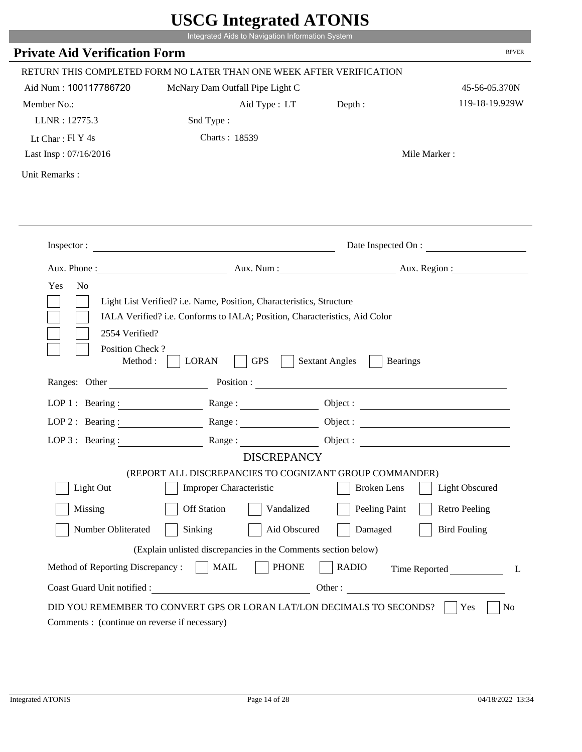|                                              | Integrated Aids to Navigation Information System                                                                                                   |                                          |                      |
|----------------------------------------------|----------------------------------------------------------------------------------------------------------------------------------------------------|------------------------------------------|----------------------|
| <b>Private Aid Verification Form</b>         |                                                                                                                                                    |                                          | <b>RPVER</b>         |
|                                              | RETURN THIS COMPLETED FORM NO LATER THAN ONE WEEK AFTER VERIFICATION                                                                               |                                          |                      |
| Aid Num: 100117786720                        | McNary Dam Outfall Pipe Light C                                                                                                                    |                                          | 45-56-05.370N        |
| Member No.:                                  | Aid Type : LT                                                                                                                                      | Depth:                                   | 119-18-19.929W       |
| LLNR: 12775.3                                | Snd Type:                                                                                                                                          |                                          |                      |
| Lt Char: $FI$ Y 4s                           | Charts: 18539                                                                                                                                      |                                          |                      |
| Last Insp: 07/16/2016                        |                                                                                                                                                    |                                          | Mile Marker:         |
| Unit Remarks:                                |                                                                                                                                                    |                                          |                      |
|                                              | Inspector:                                                                                                                                         |                                          | Date Inspected On :  |
|                                              |                                                                                                                                                    |                                          |                      |
| Aux. Phone :                                 |                                                                                                                                                    | Aux. Num : Aux. Region :                 |                      |
| N <sub>o</sub><br>Yes<br>2554 Verified?      | Light List Verified? i.e. Name, Position, Characteristics, Structure<br>IALA Verified? i.e. Conforms to IALA; Position, Characteristics, Aid Color |                                          |                      |
| Position Check?<br>Method :<br>Ranges: Other | <b>GPS</b><br><b>LORAN</b><br>Position :                                                                                                           | <b>Sextant Angles</b><br><b>Bearings</b> |                      |
|                                              |                                                                                                                                                    |                                          |                      |
|                                              | LOP 1: Bearing: $\qquad \qquad \text{Range}:$                                                                                                      |                                          |                      |
|                                              | LOP 2: Bearing: Range:                                                                                                                             |                                          |                      |
| LOP $3:$ Bearing :                           | Range:                                                                                                                                             |                                          | Object:              |
|                                              | <b>DISCREPANCY</b><br>(REPORT ALL DISCREPANCIES TO COGNIZANT GROUP COMMANDER)                                                                      |                                          |                      |
| Light Out                                    | Improper Characteristic                                                                                                                            | <b>Broken</b> Lens                       | Light Obscured       |
|                                              |                                                                                                                                                    |                                          |                      |
| Missing                                      | <b>Off Station</b><br>Vandalized                                                                                                                   | Peeling Paint                            | <b>Retro Peeling</b> |
| Number Obliterated                           | Aid Obscured<br>Sinking                                                                                                                            | Damaged                                  | <b>Bird Fouling</b>  |
|                                              | (Explain unlisted discrepancies in the Comments section below)                                                                                     |                                          |                      |
| Method of Reporting Discrepancy:             | <b>PHONE</b><br><b>MAIL</b><br>Other:                                                                                                              | <b>RADIO</b>                             | Time Reported        |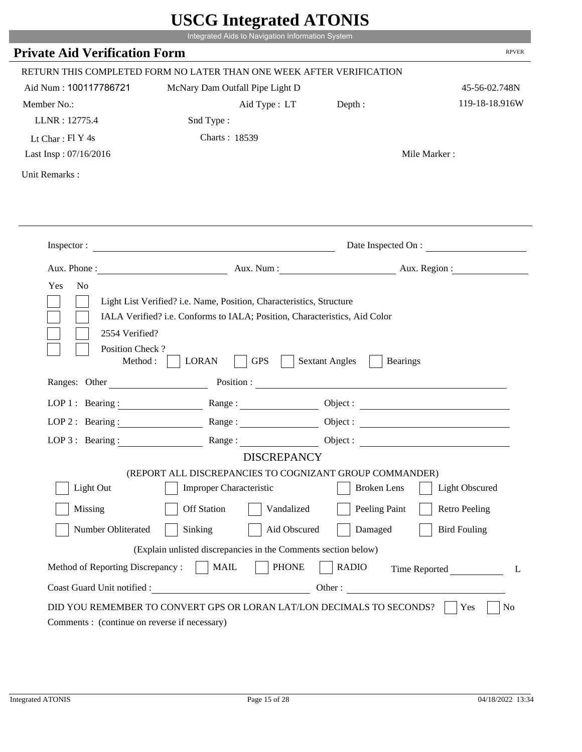|                                               | Integrated Aids to Navigation Information System                                                                                                   |                                          |                          |
|-----------------------------------------------|----------------------------------------------------------------------------------------------------------------------------------------------------|------------------------------------------|--------------------------|
| <b>Private Aid Verification Form</b>          |                                                                                                                                                    |                                          | <b>RPVER</b>             |
|                                               | RETURN THIS COMPLETED FORM NO LATER THAN ONE WEEK AFTER VERIFICATION                                                                               |                                          |                          |
| Aid Num: 100117786721                         | McNary Dam Outfall Pipe Light D                                                                                                                    |                                          | 45-56-02.748N            |
| Member No.:                                   | Aid Type : LT                                                                                                                                      | Depth:                                   | 119-18-18.916W           |
| LLNR: 12775.4                                 | Snd Type:                                                                                                                                          |                                          |                          |
| Lt Char: $FI$ Y 4s                            | Charts: 18539                                                                                                                                      |                                          |                          |
| Last Insp: 07/16/2016                         |                                                                                                                                                    |                                          | Mile Marker:             |
| Unit Remarks:                                 |                                                                                                                                                    |                                          |                          |
|                                               | Inspector:                                                                                                                                         |                                          | Date Inspected On :      |
| Aux. Phone :                                  |                                                                                                                                                    |                                          | Aux. Num : Aux. Region : |
| N <sub>o</sub><br>Yes                         | Light List Verified? i.e. Name, Position, Characteristics, Structure<br>IALA Verified? i.e. Conforms to IALA; Position, Characteristics, Aid Color |                                          |                          |
| 2554 Verified?<br>Position Check?<br>Method : | <b>GPS</b><br><b>LORAN</b>                                                                                                                         | <b>Sextant Angles</b><br><b>Bearings</b> |                          |
| Ranges: Other                                 | Position :                                                                                                                                         |                                          |                          |
|                                               | LOP 1: Bearing: $\qquad \qquad \text{Range}:$                                                                                                      |                                          |                          |
|                                               | LOP 2: Bearing: Range:                                                                                                                             |                                          |                          |
| LOP $3:$ Bearing :                            | Range:                                                                                                                                             |                                          | Object:                  |
|                                               | <b>DISCREPANCY</b><br>(REPORT ALL DISCREPANCIES TO COGNIZANT GROUP COMMANDER)                                                                      |                                          |                          |
| Light Out                                     | Improper Characteristic                                                                                                                            | <b>Broken</b> Lens                       | Light Obscured           |
|                                               |                                                                                                                                                    |                                          |                          |
| Missing                                       | <b>Off Station</b><br>Vandalized                                                                                                                   | Peeling Paint                            | <b>Retro Peeling</b>     |
| Number Obliterated                            | Aid Obscured<br>Sinking                                                                                                                            | Damaged                                  | <b>Bird Fouling</b>      |
|                                               | (Explain unlisted discrepancies in the Comments section below)                                                                                     |                                          |                          |
| Method of Reporting Discrepancy:              | <b>PHONE</b><br><b>MAIL</b><br>Other:                                                                                                              | <b>RADIO</b>                             | Time Reported            |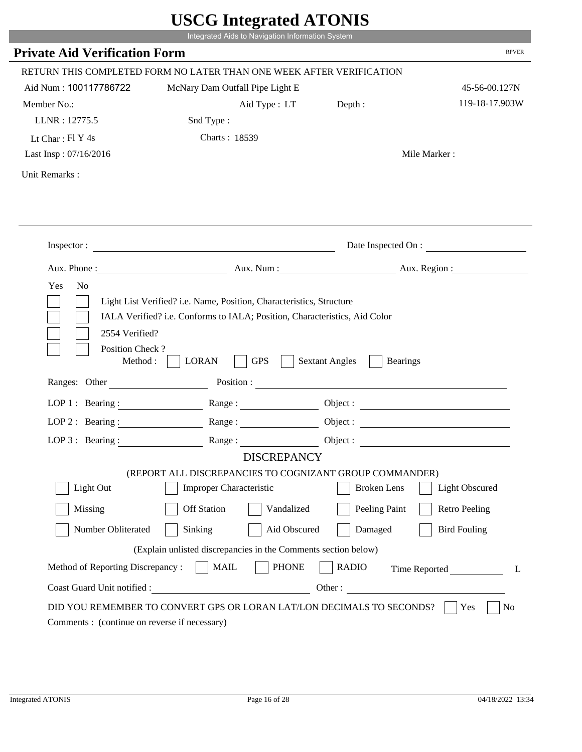|                                                                 | Integrated Aids to Navigation Information System                                                                                                   |                                          |                      |
|-----------------------------------------------------------------|----------------------------------------------------------------------------------------------------------------------------------------------------|------------------------------------------|----------------------|
| <b>Private Aid Verification Form</b>                            |                                                                                                                                                    |                                          | <b>RPVER</b>         |
|                                                                 | RETURN THIS COMPLETED FORM NO LATER THAN ONE WEEK AFTER VERIFICATION                                                                               |                                          |                      |
| Aid Num: 100117786722                                           | McNary Dam Outfall Pipe Light E                                                                                                                    |                                          | 45-56-00.127N        |
| Member No.:                                                     | Aid Type : LT                                                                                                                                      | Depth:                                   | 119-18-17.903W       |
| LLNR: 12775.5                                                   | Snd Type:                                                                                                                                          |                                          |                      |
| Lt Char: $FI$ Y 4s                                              | Charts: 18539                                                                                                                                      |                                          |                      |
| Last Insp: 07/16/2016                                           |                                                                                                                                                    |                                          | Mile Marker:         |
| Unit Remarks:                                                   |                                                                                                                                                    |                                          |                      |
|                                                                 |                                                                                                                                                    |                                          |                      |
|                                                                 | Inspector:                                                                                                                                         |                                          | Date Inspected On :  |
|                                                                 | Aux. Phone : Aux. Num : Aux. Num : Aux. Aux. Region :                                                                                              |                                          |                      |
| 2554 Verified?                                                  | Light List Verified? i.e. Name, Position, Characteristics, Structure<br>IALA Verified? i.e. Conforms to IALA; Position, Characteristics, Aid Color |                                          |                      |
| Position Check?<br>Method :<br>Ranges: Other                    | <b>GPS</b><br><b>LORAN</b><br>Position :                                                                                                           | <b>Sextant Angles</b><br><b>Bearings</b> |                      |
|                                                                 |                                                                                                                                                    |                                          |                      |
| LOP 1 : Bearing :                                               | Range:                                                                                                                                             |                                          |                      |
| $LOP$ 2 : Bearing :                                             |                                                                                                                                                    |                                          |                      |
|                                                                 | LOP 3: Bearing : $\qquad \qquad$ Range :<br><b>DISCREPANCY</b>                                                                                     |                                          |                      |
|                                                                 | (REPORT ALL DISCREPANCIES TO COGNIZANT GROUP COMMANDER)                                                                                            |                                          |                      |
| Light Out                                                       | Improper Characteristic                                                                                                                            | <b>Broken</b> Lens                       | Light Obscured       |
| Missing                                                         | <b>Off Station</b><br>Vandalized                                                                                                                   | Peeling Paint                            | <b>Retro Peeling</b> |
| Number Obliterated                                              | Sinking<br>Aid Obscured                                                                                                                            | Damaged                                  | <b>Bird Fouling</b>  |
|                                                                 |                                                                                                                                                    |                                          |                      |
|                                                                 | (Explain unlisted discrepancies in the Comments section below)                                                                                     |                                          |                      |
| Method of Reporting Discrepancy:<br>Coast Guard Unit notified : | <b>MAIL</b><br><b>PHONE</b>                                                                                                                        | <b>RADIO</b><br>Other:                   | Time Reported<br>L   |

i i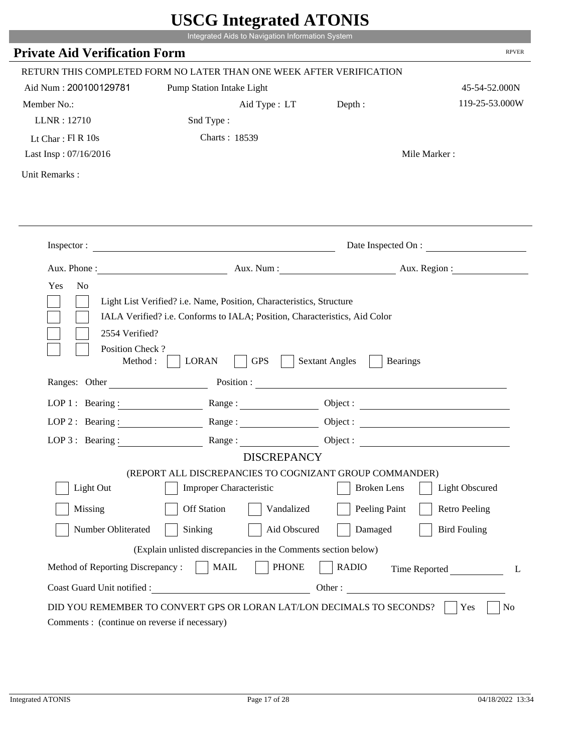|                                                            | UDUU IIIIU ARUU ATUNID<br>Integrated Aids to Navigation Information System                                                                         |                                                                                                                                                                                                                                |                        |
|------------------------------------------------------------|----------------------------------------------------------------------------------------------------------------------------------------------------|--------------------------------------------------------------------------------------------------------------------------------------------------------------------------------------------------------------------------------|------------------------|
| <b>Private Aid Verification Form</b>                       |                                                                                                                                                    |                                                                                                                                                                                                                                | <b>RPVER</b>           |
|                                                            | RETURN THIS COMPLETED FORM NO LATER THAN ONE WEEK AFTER VERIFICATION                                                                               |                                                                                                                                                                                                                                |                        |
| Aid Num: 200100129781                                      | Pump Station Intake Light                                                                                                                          |                                                                                                                                                                                                                                | 45-54-52.000N          |
| Member No.:                                                | Aid Type : LT                                                                                                                                      | Depth :                                                                                                                                                                                                                        | 119-25-53.000W         |
| LLNR: 12710                                                | Snd Type:                                                                                                                                          |                                                                                                                                                                                                                                |                        |
| Lt Char: $FI R 10s$                                        | Charts: 18539                                                                                                                                      |                                                                                                                                                                                                                                |                        |
| Last Insp: 07/16/2016                                      |                                                                                                                                                    |                                                                                                                                                                                                                                | Mile Marker:           |
| Unit Remarks:                                              |                                                                                                                                                    |                                                                                                                                                                                                                                |                        |
|                                                            |                                                                                                                                                    |                                                                                                                                                                                                                                |                        |
|                                                            | Inspector:                                                                                                                                         |                                                                                                                                                                                                                                | Date Inspected On :    |
| Aux. Phone :                                               |                                                                                                                                                    |                                                                                                                                                                                                                                | Aux. Num: Aux. Region: |
| Yes<br>N <sub>o</sub><br>2554 Verified?<br>Position Check? | Light List Verified? i.e. Name, Position, Characteristics, Structure<br>IALA Verified? i.e. Conforms to IALA; Position, Characteristics, Aid Color |                                                                                                                                                                                                                                |                        |
| Method:<br>Ranges: Other                                   | <b>GPS</b><br><b>LORAN</b>                                                                                                                         | <b>Sextant Angles</b><br><b>Bearings</b>                                                                                                                                                                                       |                        |
|                                                            |                                                                                                                                                    | Position : The Contract of the Contract of the Contract of the Contract of the Contract of the Contract of the Contract of the Contract of the Contract of the Contract of the Contract of the Contract of the Contract of the |                        |
| LOP 1 : Bearing :                                          |                                                                                                                                                    |                                                                                                                                                                                                                                | Object :               |
| $LOP$ 2 : Bearing :                                        | Range:                                                                                                                                             |                                                                                                                                                                                                                                |                        |
| LOP $3$ : Bearing :                                        | Range:<br><b>DISCREPANCY</b>                                                                                                                       |                                                                                                                                                                                                                                |                        |
|                                                            | (REPORT ALL DISCREPANCIES TO COGNIZANT GROUP COMMANDER)                                                                                            |                                                                                                                                                                                                                                |                        |
| Light Out                                                  | <b>Improper Characteristic</b>                                                                                                                     | <b>Broken</b> Lens                                                                                                                                                                                                             | <b>Light Obscured</b>  |
| Missing                                                    | <b>Off Station</b><br>Vandalized                                                                                                                   | Peeling Paint                                                                                                                                                                                                                  | <b>Retro Peeling</b>   |
| Number Obliterated                                         | Sinking<br>Aid Obscured                                                                                                                            | Damaged                                                                                                                                                                                                                        | <b>Bird Fouling</b>    |
|                                                            | (Explain unlisted discrepancies in the Comments section below)                                                                                     |                                                                                                                                                                                                                                |                        |
| Method of Reporting Discrepancy:                           | <b>PHONE</b><br><b>MAIL</b>                                                                                                                        | <b>RADIO</b>                                                                                                                                                                                                                   | Time Reported<br>L     |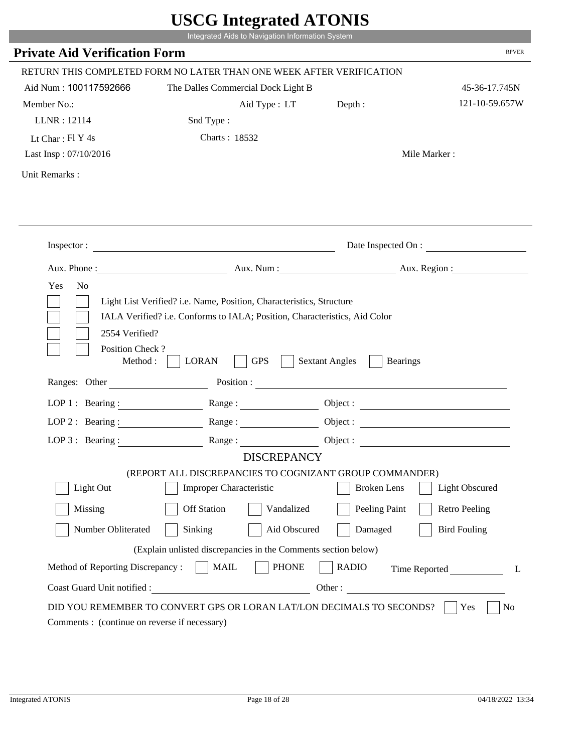|                                                                 | Integrated Aids to Navigation Information System                                                                                                   |                        |                       |
|-----------------------------------------------------------------|----------------------------------------------------------------------------------------------------------------------------------------------------|------------------------|-----------------------|
| <b>Private Aid Verification Form</b>                            |                                                                                                                                                    |                        | <b>RPVER</b>          |
|                                                                 | RETURN THIS COMPLETED FORM NO LATER THAN ONE WEEK AFTER VERIFICATION                                                                               |                        |                       |
| Aid Num: 100117592666                                           | The Dalles Commercial Dock Light B                                                                                                                 |                        | 45-36-17.745N         |
| Member No.:                                                     | Aid Type : LT Depth :                                                                                                                              |                        | 121-10-59.657W        |
| LLNR: 12114                                                     | Snd Type:                                                                                                                                          |                        |                       |
| Lt Char: $FI Y 4s$                                              | Charts: 18532                                                                                                                                      |                        |                       |
| Last Insp: 07/10/2016                                           |                                                                                                                                                    |                        | Mile Marker:          |
| Unit Remarks:                                                   |                                                                                                                                                    |                        |                       |
|                                                                 |                                                                                                                                                    |                        |                       |
|                                                                 | Inspector:                                                                                                                                         |                        | Date Inspected On :   |
|                                                                 | Aux. Phone: Aux. Aux. Num : Aux. Aux. Region :                                                                                                     |                        |                       |
| 2554 Verified?                                                  | Light List Verified? i.e. Name, Position, Characteristics, Structure<br>IALA Verified? i.e. Conforms to IALA; Position, Characteristics, Aid Color |                        |                       |
| Position Check?<br>Method :<br>Ranges: Other                    | <b>GPS</b><br><b>LORAN</b>                                                                                                                         | <b>Sextant Angles</b>  | <b>Bearings</b>       |
|                                                                 |                                                                                                                                                    |                        |                       |
|                                                                 | LOP 1: Bearing : Range :                                                                                                                           |                        | Object:               |
| LOP 2 : Bearing :                                               |                                                                                                                                                    |                        |                       |
|                                                                 | LOP 3: Bearing: Range: Name: Object:<br><b>DISCREPANCY</b>                                                                                         |                        |                       |
|                                                                 | (REPORT ALL DISCREPANCIES TO COGNIZANT GROUP COMMANDER)                                                                                            |                        |                       |
| Light Out                                                       | Improper Characteristic                                                                                                                            | <b>Broken</b> Lens     | <b>Light Obscured</b> |
| Missing                                                         | <b>Off Station</b><br>Vandalized                                                                                                                   | Peeling Paint          | <b>Retro Peeling</b>  |
| Number Obliterated                                              | Sinking<br>Aid Obscured                                                                                                                            | Damaged                | <b>Bird Fouling</b>   |
|                                                                 |                                                                                                                                                    |                        |                       |
|                                                                 | (Explain unlisted discrepancies in the Comments section below)                                                                                     |                        |                       |
| Method of Reporting Discrepancy:<br>Coast Guard Unit notified : | <b>PHONE</b><br><b>MAIL</b>                                                                                                                        | <b>RADIO</b><br>Other: | Time Reported<br>L    |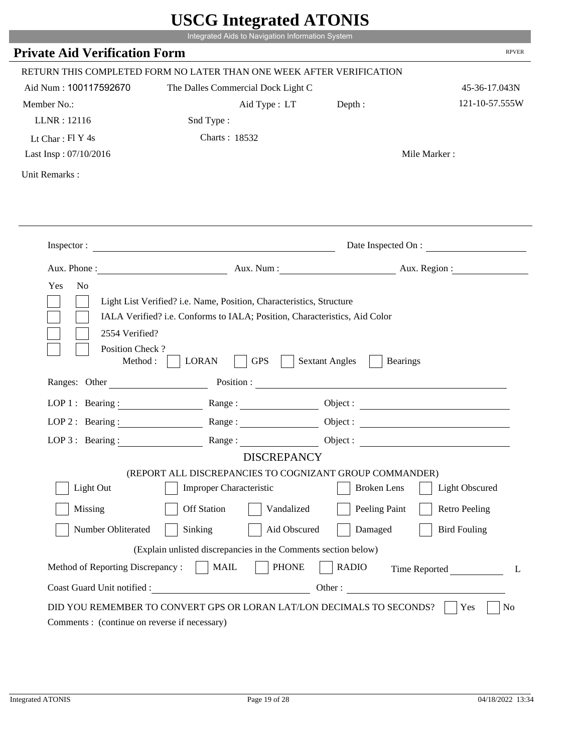|                                                       | $\sim$ $\sim$ $\sim$ $\sim$ $\sim$ $\sim$ $\sim$<br>Integrated Aids to Navigation Information System                                               |                                          |                       |
|-------------------------------------------------------|----------------------------------------------------------------------------------------------------------------------------------------------------|------------------------------------------|-----------------------|
| <b>Private Aid Verification Form</b>                  |                                                                                                                                                    |                                          | <b>RPVER</b>          |
|                                                       |                                                                                                                                                    |                                          |                       |
|                                                       | RETURN THIS COMPLETED FORM NO LATER THAN ONE WEEK AFTER VERIFICATION                                                                               |                                          |                       |
| Aid Num: 100117592670                                 | The Dalles Commercial Dock Light C                                                                                                                 |                                          | 45-36-17.043N         |
| Member No.:                                           | Aid Type: LT                                                                                                                                       | Depth :                                  | 121-10-57.555W        |
| LLNR: 12116                                           | Snd Type:                                                                                                                                          |                                          |                       |
| Lt Char: $FI Y 4s$                                    | Charts: 18532                                                                                                                                      |                                          |                       |
| Last Insp: 07/10/2016                                 |                                                                                                                                                    |                                          | Mile Marker:          |
| Unit Remarks:                                         |                                                                                                                                                    |                                          |                       |
|                                                       |                                                                                                                                                    |                                          |                       |
|                                                       |                                                                                                                                                    |                                          | Date Inspected On :   |
|                                                       | Aux. Phone : Aux. Num : Aux. Num : Aux. Num : Aux. Region :                                                                                        |                                          |                       |
| Yes<br>N <sub>o</sub>                                 | Light List Verified? i.e. Name, Position, Characteristics, Structure<br>IALA Verified? i.e. Conforms to IALA; Position, Characteristics, Aid Color |                                          |                       |
| 2554 Verified?<br>Position Check?<br>Method : $\vert$ | <b>GPS</b><br><b>LORAN</b>                                                                                                                         | <b>Sextant Angles</b><br><b>Bearings</b> |                       |
| Ranges: Other                                         |                                                                                                                                                    |                                          |                       |
|                                                       | LOP 1: Bearing: Range:                                                                                                                             |                                          |                       |
| LOP 2: Bearing:                                       | Range:                                                                                                                                             |                                          |                       |
|                                                       | LOP 3: Bearing: Range: Range: Object:                                                                                                              |                                          |                       |
|                                                       | <b>DISCREPANCY</b>                                                                                                                                 |                                          |                       |
| Light Out                                             | (REPORT ALL DISCREPANCIES TO COGNIZANT GROUP COMMANDER)<br>Improper Characteristic                                                                 | <b>Broken</b> Lens                       | <b>Light Obscured</b> |
|                                                       |                                                                                                                                                    |                                          |                       |
| Missing                                               | <b>Off Station</b><br>Vandalized                                                                                                                   | Peeling Paint                            | <b>Retro Peeling</b>  |
| Number Obliterated                                    | Sinking<br>Aid Obscured                                                                                                                            | Damaged                                  | <b>Bird Fouling</b>   |
|                                                       | (Explain unlisted discrepancies in the Comments section below)                                                                                     |                                          |                       |
| Method of Reporting Discrepancy:                      | <b>MAIL</b><br><b>PHONE</b>                                                                                                                        | <b>RADIO</b>                             | Time Reported<br>L    |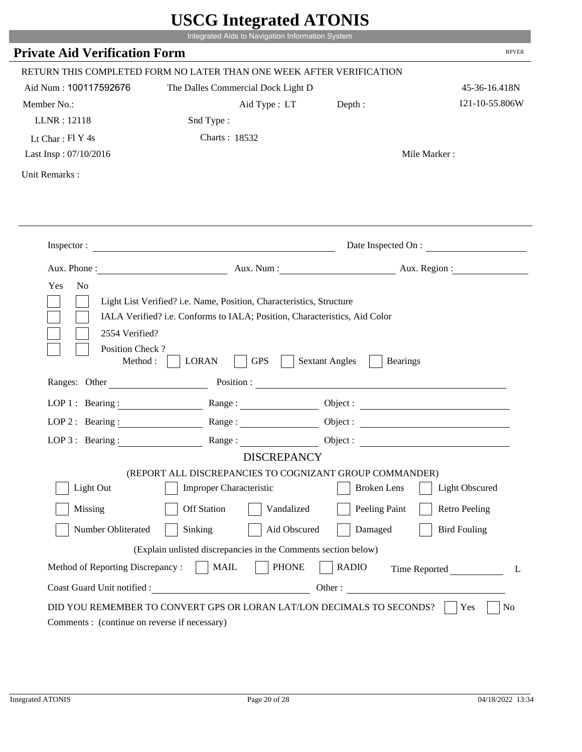|                                                                        | Integrated Aids to Navigation Information System                                                                                                   |                                          |                                 |
|------------------------------------------------------------------------|----------------------------------------------------------------------------------------------------------------------------------------------------|------------------------------------------|---------------------------------|
| <b>Private Aid Verification Form</b>                                   |                                                                                                                                                    |                                          | <b>RPVER</b>                    |
|                                                                        |                                                                                                                                                    |                                          |                                 |
|                                                                        | RETURN THIS COMPLETED FORM NO LATER THAN ONE WEEK AFTER VERIFICATION                                                                               |                                          |                                 |
| Aid Num: 100117592676                                                  | The Dalles Commercial Dock Light D                                                                                                                 |                                          | 45-36-16.418N<br>121-10-55.806W |
| Member No.:                                                            | Aid Type : LT                                                                                                                                      | Depth :                                  |                                 |
| LLNR: 12118                                                            | Snd Type:                                                                                                                                          |                                          |                                 |
| Lt Char: $FI Y 4s$                                                     | Charts: 18532                                                                                                                                      |                                          |                                 |
| Last Insp: 07/10/2016                                                  |                                                                                                                                                    |                                          | Mile Marker:                    |
| Unit Remarks:                                                          |                                                                                                                                                    |                                          |                                 |
|                                                                        |                                                                                                                                                    |                                          |                                 |
|                                                                        |                                                                                                                                                    |                                          | Date Inspected On :             |
|                                                                        | Aux. Phone : Aux. Num : Aux. Num : Aux. Num : Aux. Region :                                                                                        |                                          |                                 |
| Yes<br>N <sub>o</sub>                                                  | Light List Verified? i.e. Name, Position, Characteristics, Structure<br>IALA Verified? i.e. Conforms to IALA; Position, Characteristics, Aid Color |                                          |                                 |
| 2554 Verified?<br>Position Check?<br>Method : $\vert$<br>Ranges: Other | <b>GPS</b><br><b>LORAN</b>                                                                                                                         | <b>Sextant Angles</b><br><b>Bearings</b> |                                 |
|                                                                        |                                                                                                                                                    |                                          |                                 |
|                                                                        | LOP 1: Bearing: Range:                                                                                                                             |                                          |                                 |
| LOP 2: Bearing:                                                        | Range:                                                                                                                                             |                                          |                                 |
|                                                                        | LOP 3: Bearing: Range: Range: Object:                                                                                                              |                                          |                                 |
|                                                                        | <b>DISCREPANCY</b><br>(REPORT ALL DISCREPANCIES TO COGNIZANT GROUP COMMANDER)                                                                      |                                          |                                 |
| Light Out                                                              | Improper Characteristic                                                                                                                            | <b>Broken</b> Lens                       | <b>Light Obscured</b>           |
| Missing                                                                | <b>Off Station</b><br>Vandalized                                                                                                                   | Peeling Paint                            | <b>Retro Peeling</b>            |
|                                                                        |                                                                                                                                                    |                                          |                                 |
| Number Obliterated                                                     | Sinking<br>Aid Obscured                                                                                                                            | Damaged                                  | <b>Bird Fouling</b>             |
|                                                                        | (Explain unlisted discrepancies in the Comments section below)                                                                                     |                                          |                                 |
| Method of Reporting Discrepancy:<br>Coast Guard Unit notified :        | <b>MAIL</b><br><b>PHONE</b><br><u> 1989 - Johann Barbara, martxa eta politikar</u>                                                                 | <b>RADIO</b><br>Other:                   | Time Reported<br>L              |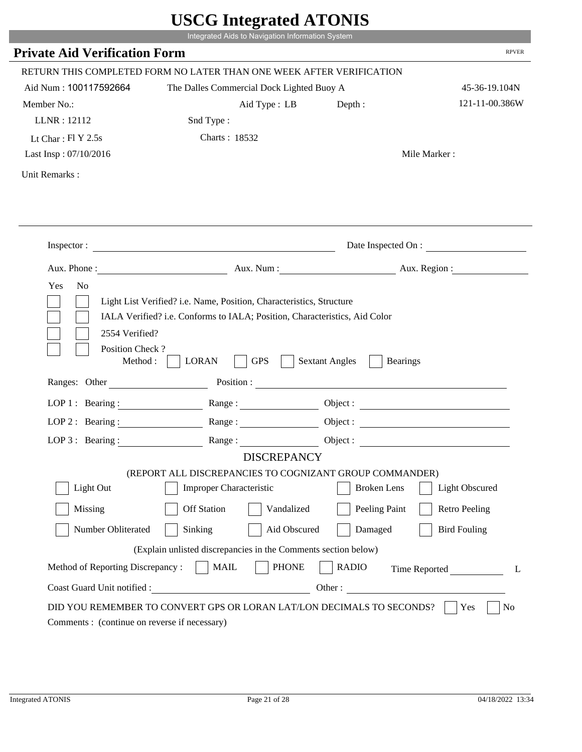|                                                                       | $\sim$<br>Integrated Aids to Navigation Information System           |                                                        |                      |
|-----------------------------------------------------------------------|----------------------------------------------------------------------|--------------------------------------------------------|----------------------|
| <b>Private Aid Verification Form</b>                                  |                                                                      |                                                        | <b>RPVER</b>         |
|                                                                       | RETURN THIS COMPLETED FORM NO LATER THAN ONE WEEK AFTER VERIFICATION |                                                        |                      |
| Aid Num: 100117592664                                                 | The Dalles Commercial Dock Lighted Buoy A                            |                                                        | 45-36-19.104N        |
| Member No.:                                                           | Aid Type : LB                                                        | Depth:                                                 | 121-11-00.386W       |
| LLNR: 12112                                                           | Snd Type:                                                            |                                                        |                      |
| Lt Char: $FI Y 2.5s$                                                  | Charts: 18532                                                        |                                                        |                      |
| Last Insp: 07/10/2016                                                 |                                                                      |                                                        | Mile Marker:         |
| Unit Remarks:                                                         |                                                                      |                                                        |                      |
|                                                                       |                                                                      |                                                        |                      |
|                                                                       | Inspector:                                                           |                                                        | Date Inspected On :  |
|                                                                       | Aux. Phone : Aux. Num : Aux. Num : Aux. Aux. Region :                |                                                        |                      |
| Position Check?<br>Method : $\vert$<br>Ranges: Other                  | <b>GPS</b><br><b>LORAN</b>                                           | <b>Sextant Angles</b><br><b>Bearings</b><br>Position : |                      |
| LOP 1 : Bearing : $\qquad \qquad$                                     | Range:                                                               |                                                        |                      |
| LOP $2:$ Bearing :                                                    |                                                                      |                                                        |                      |
|                                                                       | LOP 3: Bearing : $\qquad \qquad$ Range :                             |                                                        | Object:              |
|                                                                       | <b>DISCREPANCY</b>                                                   |                                                        |                      |
|                                                                       | (REPORT ALL DISCREPANCIES TO COGNIZANT GROUP COMMANDER)              |                                                        |                      |
| Light Out                                                             | Improper Characteristic                                              | <b>Broken</b> Lens                                     | Light Obscured       |
| Missing                                                               | <b>Off Station</b><br>Vandalized                                     | Peeling Paint                                          | <b>Retro Peeling</b> |
| Number Obliterated                                                    | Sinking<br>Aid Obscured                                              | Damaged                                                | <b>Bird Fouling</b>  |
|                                                                       | (Explain unlisted discrepancies in the Comments section below)       |                                                        |                      |
| Method of Reporting Discrepancy:                                      | <b>MAIL</b><br><b>PHONE</b>                                          | <b>RADIO</b>                                           | Time Reported<br>L   |
| Coast Guard Unit notified :                                           |                                                                      | Other:                                                 |                      |
| DID YOU REMEMBER TO CONVERT GPS OR LORAN LAT/LON DECIMALS TO SECONDS? |                                                                      |                                                        |                      |
|                                                                       |                                                                      |                                                        | Yes<br>No            |

p.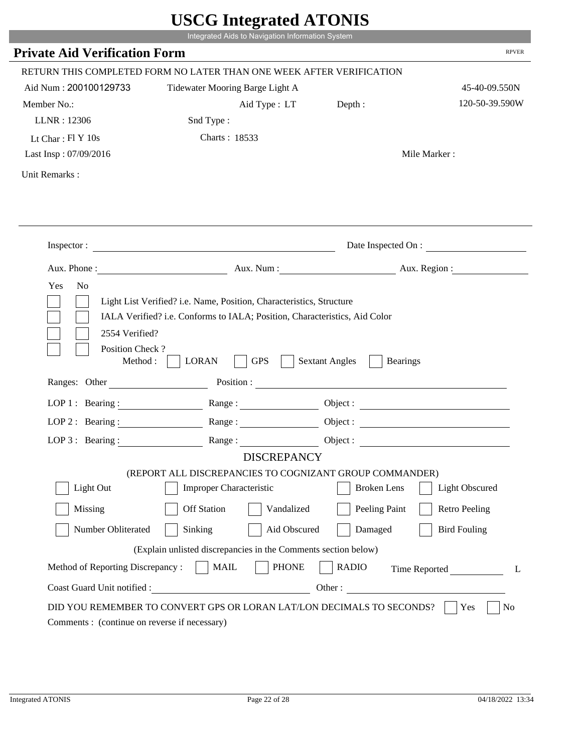|                                                                 | Integrated Aids to Navigation Information System                                                                                                   |                                                        |                      |
|-----------------------------------------------------------------|----------------------------------------------------------------------------------------------------------------------------------------------------|--------------------------------------------------------|----------------------|
| <b>Private Aid Verification Form</b>                            |                                                                                                                                                    |                                                        | <b>RPVER</b>         |
|                                                                 | RETURN THIS COMPLETED FORM NO LATER THAN ONE WEEK AFTER VERIFICATION                                                                               |                                                        |                      |
| Aid Num: 200100129733                                           | Tidewater Mooring Barge Light A                                                                                                                    |                                                        | 45-40-09.550N        |
| Member No.:                                                     | Aid Type : LT                                                                                                                                      | Depth:                                                 | 120-50-39.590W       |
| LLNR: 12306                                                     | Snd Type:                                                                                                                                          |                                                        |                      |
| Lt Char: $FI Y 10s$                                             | Charts: 18533                                                                                                                                      |                                                        |                      |
| Last Insp: 07/09/2016                                           |                                                                                                                                                    |                                                        | Mile Marker:         |
| Unit Remarks:                                                   |                                                                                                                                                    |                                                        |                      |
|                                                                 |                                                                                                                                                    |                                                        |                      |
|                                                                 | Inspector:                                                                                                                                         |                                                        | Date Inspected On :  |
| Aux. Phone :                                                    |                                                                                                                                                    | Aux. Num: Aux. Region:                                 |                      |
| 2554 Verified?                                                  | Light List Verified? i.e. Name, Position, Characteristics, Structure<br>IALA Verified? i.e. Conforms to IALA; Position, Characteristics, Aid Color |                                                        |                      |
| Position Check?<br>Method :<br>Ranges: Other                    | <b>GPS</b><br><b>LORAN</b>                                                                                                                         | <b>Sextant Angles</b><br><b>Bearings</b><br>Position : |                      |
|                                                                 |                                                                                                                                                    |                                                        |                      |
|                                                                 | LOP 1: Bearing: $\qquad \qquad \text{Range}:$                                                                                                      |                                                        |                      |
|                                                                 | LOP 2: Bearing: Range:                                                                                                                             |                                                        |                      |
| $LOP 3:$ Bearing :                                              | Range:<br><b>DISCREPANCY</b>                                                                                                                       |                                                        | Object:              |
|                                                                 | (REPORT ALL DISCREPANCIES TO COGNIZANT GROUP COMMANDER)                                                                                            |                                                        |                      |
| Light Out                                                       | Improper Characteristic                                                                                                                            | <b>Broken</b> Lens                                     | Light Obscured       |
| Missing                                                         | <b>Off Station</b><br>Vandalized                                                                                                                   | Peeling Paint                                          | <b>Retro Peeling</b> |
| Number Obliterated                                              | Aid Obscured<br>Sinking                                                                                                                            | Damaged                                                | <b>Bird Fouling</b>  |
|                                                                 |                                                                                                                                                    |                                                        |                      |
|                                                                 | (Explain unlisted discrepancies in the Comments section below)                                                                                     |                                                        |                      |
| Method of Reporting Discrepancy:<br>Coast Guard Unit notified : | <b>PHONE</b><br><b>MAIL</b><br>Other:                                                                                                              | <b>RADIO</b>                                           | Time Reported        |

i i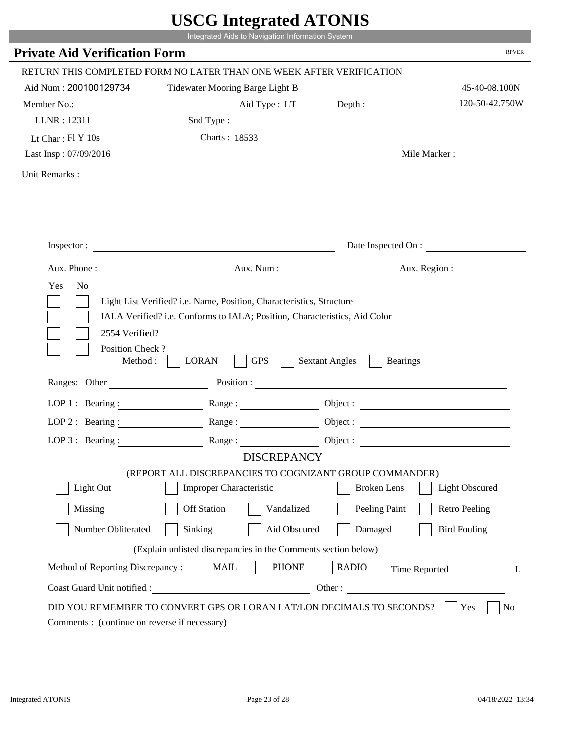|                                                         | Integrated Aids to Navigation Information System                                                                                                   |                                          |                        |
|---------------------------------------------------------|----------------------------------------------------------------------------------------------------------------------------------------------------|------------------------------------------|------------------------|
| <b>Private Aid Verification Form</b>                    |                                                                                                                                                    |                                          | <b>RPVER</b>           |
|                                                         | RETURN THIS COMPLETED FORM NO LATER THAN ONE WEEK AFTER VERIFICATION                                                                               |                                          |                        |
| Aid Num: 200100129734                                   | Tidewater Mooring Barge Light B                                                                                                                    |                                          | 45-40-08.100N          |
| Member No.:                                             | Aid Type : LT                                                                                                                                      | Depth:                                   | 120-50-42.750W         |
| LLNR: 12311                                             | Snd Type:                                                                                                                                          |                                          |                        |
| Lt Char: $FI Y 10s$                                     | Charts: 18533                                                                                                                                      |                                          |                        |
| Last Insp: 07/09/2016                                   |                                                                                                                                                    |                                          | Mile Marker:           |
| Unit Remarks:                                           |                                                                                                                                                    |                                          |                        |
|                                                         | Inspector:                                                                                                                                         |                                          | Date Inspected On :    |
|                                                         |                                                                                                                                                    |                                          | Aux. Num: Aux. Region: |
|                                                         |                                                                                                                                                    |                                          |                        |
| Aux. Phone :<br>N <sub>o</sub><br>Yes<br>2554 Verified? | Light List Verified? i.e. Name, Position, Characteristics, Structure<br>IALA Verified? i.e. Conforms to IALA; Position, Characteristics, Aid Color |                                          |                        |
| Position Check?<br>Method :                             | <b>GPS</b><br><b>LORAN</b>                                                                                                                         | <b>Sextant Angles</b><br><b>Bearings</b> |                        |
| Ranges: Other                                           | Position :                                                                                                                                         |                                          |                        |
|                                                         | LOP 1: Bearing: $\qquad \qquad \text{Range}:$                                                                                                      |                                          |                        |
|                                                         | LOP 2: Bearing: Range:                                                                                                                             |                                          |                        |
| $LOP 3:$ Bearing :                                      | Range:                                                                                                                                             |                                          | Object:                |
|                                                         | <b>DISCREPANCY</b>                                                                                                                                 |                                          |                        |
| Light Out                                               | (REPORT ALL DISCREPANCIES TO COGNIZANT GROUP COMMANDER)                                                                                            | <b>Broken</b> Lens                       |                        |
|                                                         | Improper Characteristic                                                                                                                            |                                          | Light Obscured         |
| Missing                                                 | <b>Off Station</b><br>Vandalized                                                                                                                   | Peeling Paint                            | <b>Retro Peeling</b>   |
| Number Obliterated                                      | Aid Obscured<br>Sinking                                                                                                                            | Damaged                                  | <b>Bird Fouling</b>    |
|                                                         | (Explain unlisted discrepancies in the Comments section below)                                                                                     |                                          |                        |
| Method of Reporting Discrepancy:                        | <b>PHONE</b><br><b>MAIL</b>                                                                                                                        | <b>RADIO</b>                             | Time Reported          |

i i